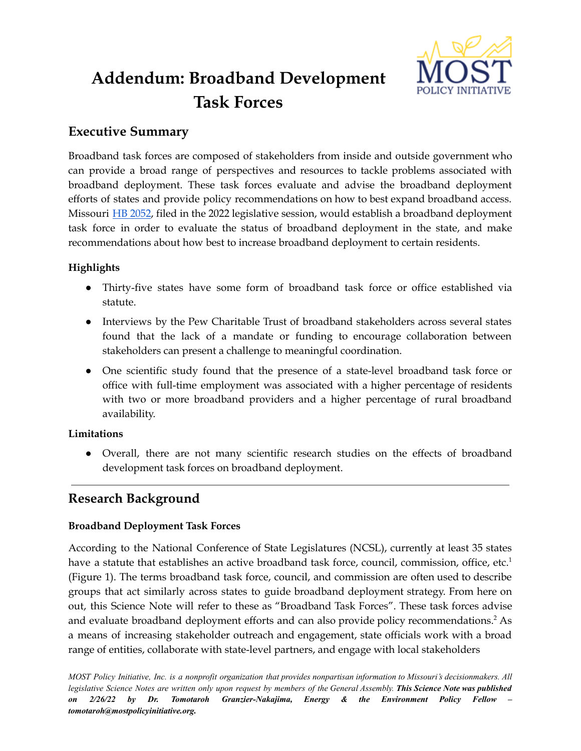

# **Addendum: Broadband Development Task Forces**

# **Executive Summary**

Broadband task forces are composed of stakeholders from inside and outside government who can provide a broad range of perspectives and resources to tackle problems associated with broadband deployment. These task forces evaluate and advise the broadband deployment efforts of states and provide policy recommendations on how to best expand broadband access. Missouri HB [2052](https://house.mo.gov/bill.aspx?bill=HB2052&year=2022&code=R), filed in the 2022 legislative session, would establish a broadband deployment task force in order to evaluate the status of broadband deployment in the state, and make recommendations about how best to increase broadband deployment to certain residents.

## **Highlights**

- Thirty-five states have some form of broadband task force or office established via statute.
- Interviews by the Pew Charitable Trust of broadband stakeholders across several states found that the lack of a mandate or funding to encourage collaboration between stakeholders can present a challenge to meaningful coordination.
- One scientific study found that the presence of a state-level broadband task force or office with full-time employment was associated with a higher percentage of residents with two or more broadband providers and a higher percentage of rural broadband availability.

## **Limitations**

● Overall, there are not many scientific research studies on the effects of broadband development task forces on broadband deployment.

# **Research Background**

## **Broadband Deployment Task Forces**

According to the National Conference of State Legislatures (NCSL), currently at least 35 states have a statute that establishes an active broadband task force, council, commission, office, etc.<sup>1</sup> (Figure 1). The terms broadband task force, council, and commission are often used to describe groups that act similarly across states to guide broadband deployment strategy. From here on out, this Science Note will refer to these as "Broadband Task Forces". These task forces advise and evaluate broadband deployment efforts and can also provide policy recommendations. <sup>2</sup> As a means of increasing stakeholder outreach and engagement, state officials work with a broad range of entities, collaborate with state-level partners, and engage with local stakeholders

MOST Policy Initiative, Inc. is a nonprofit organization that provides nonpartisan information to Missouri's decisionmakers. All legislative Science Notes are written only upon request by members of the General Assembly. This Science Note was published *on 2/26/22 by Dr. Tomotaroh Granzier-Nakajima, Energy & the Environment Policy Fellow – tomotaroh@mostpolicyinitiative.org.*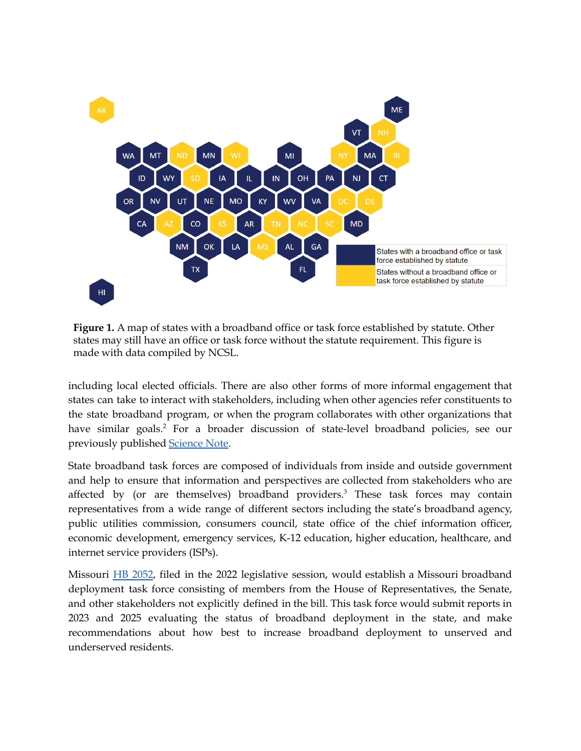

**Figure 1.** A map of states with a broadband office or task force established by statute. Other states may still have an office or task force without the statute requirement. This figure is made with data compiled by NCSL.

including local elected officials. There are also other forms of more informal engagement that states can take to interact with stakeholders, including when other agencies refer constituents to the state broadband program, or when the program collaborates with other organizations that have similar goals. <sup>2</sup> For a broader discussion of state-level broadband policies, see our previously published [Science](https://mostpolicyinitiative.org/science-note/state-level-broadband-policies/) Note.

State broadband task forces are composed of individuals from inside and outside government and help to ensure that information and perspectives are collected from stakeholders who are affected by (or are themselves) broadband providers. <sup>3</sup> These task forces may contain representatives from a wide range of different sectors including the state's broadband agency, public utilities commission, consumers council, state office of the chief information officer, economic development, emergency services, K-12 education, higher education, healthcare, and internet service providers (ISPs).

Missouri HB [2052](https://house.mo.gov/bill.aspx?bill=HB2052&year=2022&code=R), filed in the 2022 legislative session, would establish a Missouri broadband deployment task force consisting of members from the House of Representatives, the Senate, and other stakeholders not explicitly defined in the bill. This task force would submit reports in 2023 and 2025 evaluating the status of broadband deployment in the state, and make recommendations about how best to increase broadband deployment to unserved and underserved residents.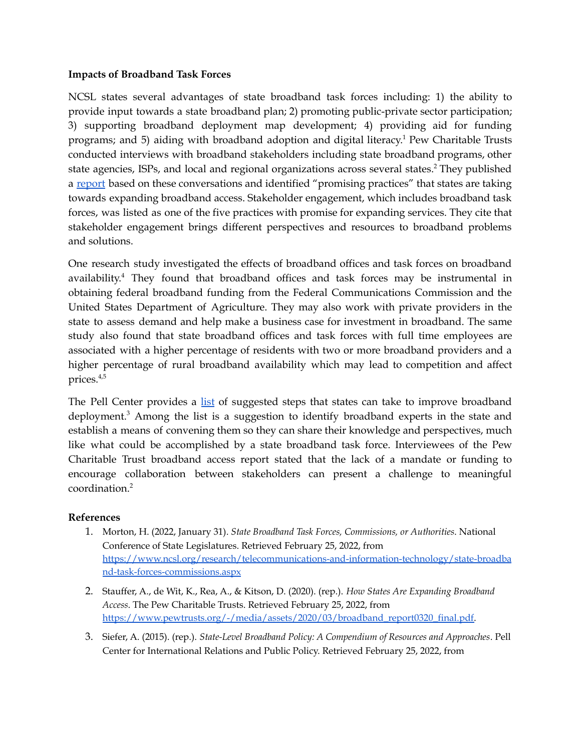#### **Impacts of Broadband Task Forces**

NCSL states several advantages of state broadband task forces including: 1) the ability to provide input towards a state broadband plan; 2) promoting public-private sector participation; 3) supporting broadband deployment map development; 4) providing aid for funding programs; and 5) aiding with broadband adoption and digital literacy. <sup>1</sup> Pew Charitable Trusts conducted interviews with broadband stakeholders including state broadband programs, other state agencies, ISPs, and local and regional organizations across several states. <sup>2</sup> They published a [report](https://www.pewtrusts.org/-/media/assets/2020/03/broadband_report0320_final.pdf) based on these conversations and identified "promising practices" that states are taking towards expanding broadband access. Stakeholder engagement, which includes broadband task forces, was listed as one of the five practices with promise for expanding services. They cite that stakeholder engagement brings different perspectives and resources to broadband problems and solutions.

One research study investigated the effects of broadband offices and task forces on broadband availability.<sup>4</sup> They found that broadband offices and task forces may be instrumental in obtaining federal broadband funding from the Federal Communications Commission and the United States Department of Agriculture. They may also work with private providers in the state to assess demand and help make a business case for investment in broadband. The same study also found that state broadband offices and task forces with full time employees are associated with a higher percentage of residents with two or more broadband providers and a higher percentage of rural broadband availability which may lead to competition and affect prices. 4,5

The Pell Center provides a [list](https://www.pellcenter.org/wp-content/uploads/2017/02/State-Level-Broadband-Policy-FINAL.pdf) of suggested steps that states can take to improve broadband deployment. <sup>3</sup> Among the list is a suggestion to identify broadband experts in the state and establish a means of convening them so they can share their knowledge and perspectives, much like what could be accomplished by a state broadband task force. Interviewees of the Pew Charitable Trust broadband access report stated that the lack of a mandate or funding to encourage collaboration between stakeholders can present a challenge to meaningful coordination. 2

#### **References**

- 1. Morton, H. (2022, January 31). *State Broadband Task Forces, Commissions, or Authorities*. National Conference of State Legislatures. Retrieved February 25, 2022, from [https://www.ncsl.org/research/telecommunications-and-information-technology/state-broadba](https://www.ncsl.org/research/telecommunications-and-information-technology/state-broadband-task-forces-commissions.aspx) [nd-task-forces-commissions.aspx](https://www.ncsl.org/research/telecommunications-and-information-technology/state-broadband-task-forces-commissions.aspx)
- 2. Stauffer, A., de Wit, K., Rea, A., & Kitson, D. (2020). (rep.). *How States Are Expanding Broadband Access*. The Pew Charitable Trusts. Retrieved February 25, 2022, from [https://www.pewtrusts.org/-/media/assets/2020/03/broadband\\_report0320\\_final.pdf.](https://www.pewtrusts.org/-/media/assets/2020/03/broadband_report0320_final.pdf)
- 3. Siefer, A. (2015). (rep.). *State-Level Broadband Policy: A Compendium of Resources and Approaches*. Pell Center for International Relations and Public Policy. Retrieved February 25, 2022, from